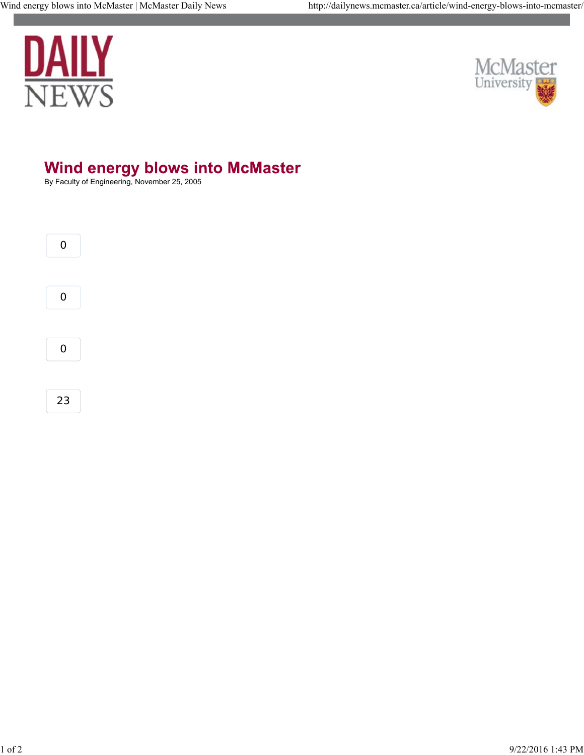



## Wind energy blows into McMaster<br>By Faculty of Engineering, November 25, 2005